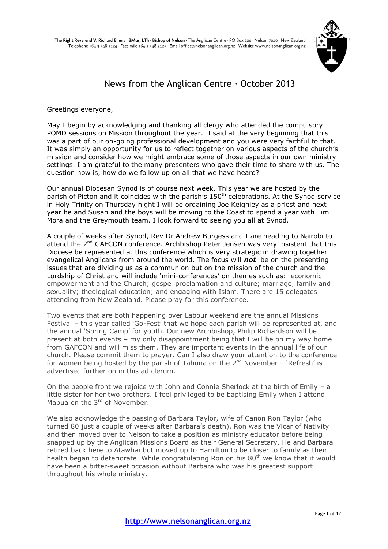

## News from the Anglican Centre  $\cdot$  October 2013

Greetings everyone,

May I begin by acknowledging and thanking all clergy who attended the compulsory POMD sessions on Mission throughout the year. I said at the very beginning that this was a part of our on-going professional development and you were very faithful to that. It was simply an opportunity for us to reflect together on various aspects of the church's mission and consider how we might embrace some of those aspects in our own ministry settings. I am grateful to the many presenters who gave their time to share with us. The question now is, how do we follow up on all that we have heard?

Our annual Diocesan Synod is of course next week. This year we are hosted by the parish of Picton and it coincides with the parish's  $150<sup>th</sup>$  celebrations. At the Synod service in Holy Trinity on Thursday night I will be ordaining Joe Keighley as a priest and next year he and Susan and the boys will be moving to the Coast to spend a year with Tim Mora and the Greymouth team. I look forward to seeing you all at Synod.

A couple of weeks after Synod, Rev Dr Andrew Burgess and I are heading to Nairobi to attend the  $2<sup>nd</sup>$  GAFCON conference. Archbishop Peter Jensen was very insistent that this Diocese be represented at this conference which is very strategic in drawing together evangelical Anglicans from around the world. The focus will *not* be on the presenting issues that are dividing us as a communion but on the mission of the church and the Lordship of Christ and will include 'mini-conferences' on themes such as: economic empowerment and the Church; gospel proclamation and culture; marriage, family and sexuality; theological education; and engaging with Islam. There are 15 delegates attending from New Zealand. Please pray for this conference.

Two events that are both happening over Labour weekend are the annual Missions Festival – this year called 'Go-Fest' that we hope each parish will be represented at, and the annual 'Spring Camp' for youth. Our new Archbishop, Philip Richardson will be present at both events – my only disappointment being that I will be on my way home from GAFCON and will miss them. They are important events in the annual life of our church. Please commit them to prayer. Can I also draw your attention to the conference for women being hosted by the parish of Tahuna on the  $2^{nd}$  November – 'Refresh' is advertised further on in this ad clerum.

On the people front we rejoice with John and Connie Sherlock at the birth of Emily – a little sister for her two brothers. I feel privileged to be baptising Emily when I attend Mapua on the  $3<sup>rd</sup>$  of November.

We also acknowledge the passing of Barbara Taylor, wife of Canon Ron Taylor (who turned 80 just a couple of weeks after Barbara's death). Ron was the Vicar of Nativity and then moved over to Nelson to take a position as ministry educator before being snapped up by the Anglican Missions Board as their General Secretary. He and Barbara retired back here to Atawhai but moved up to Hamilton to be closer to family as their health began to deteriorate. While congratulating Ron on his 80<sup>th</sup> we know that it would have been a bitter-sweet occasion without Barbara who was his greatest support throughout his whole ministry.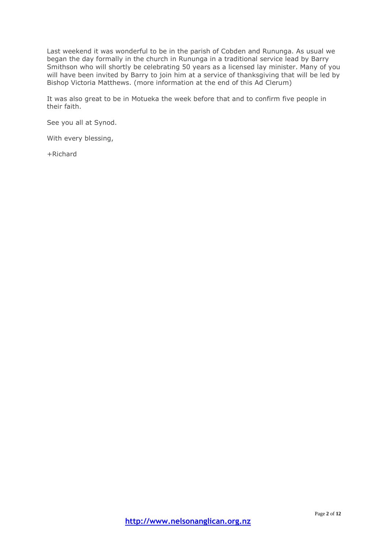Last weekend it was wonderful to be in the parish of Cobden and Rununga. As usual we began the day formally in the church in Rununga in a traditional service lead by Barry Smithson who will shortly be celebrating 50 years as a licensed lay minister. Many of you will have been invited by Barry to join him at a service of thanksgiving that will be led by Bishop Victoria Matthews. (more information at the end of this Ad Clerum)

It was also great to be in Motueka the week before that and to confirm five people in their faith.

See you all at Synod.

With every blessing,

+Richard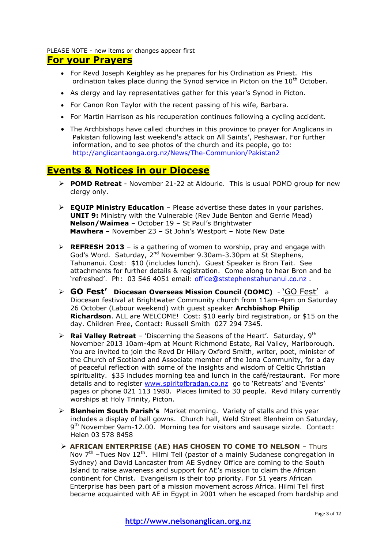PLEASE NOTE - new items or changes appear first

## **For your Prayers**

- For Revd Joseph Keighley as he prepares for his Ordination as Priest. His ordination takes place during the Synod service in Picton on the  $10<sup>th</sup>$  October.
- As clergy and lay representatives gather for this year's Synod in Picton.
- For Canon Ron Taylor with the recent passing of his wife, Barbara.
- For Martin Harrison as his recuperation continues following a cycling accident.
- The Archbishops have called churches in this province to prayer for Anglicans in Pakistan following last weekend's attack on All Saints', Peshawar. For further information, and to see photos of the church and its people, go to: <http://anglicantaonga.org.nz/News/The-Communion/Pakistan2>

## **Events & Notices in our Diocese**

- **POMD Retreat** November 21-22 at Aldourie. This is usual POMD group for new clergy only.
- **EQUIP Ministry Education** Please advertise these dates in your parishes. **UNIT 9:** Ministry with the Vulnerable (Rev Jude Benton and Gerrie Mead) **Nelson/Waimea** – October 19 – St Paul's Brightwater **Mawhera** – November 23 – St John's Westport – Note New Date
- **REFRESH 2013** is a gathering of women to worship, pray and engage with God's Word. Saturday, 2nd November 9.30am-3.30pm at St Stephens, Tahunanui. Cost: \$10 (includes lunch). Guest Speaker is Bron Tait. See attachments for further details & registration. Come along to hear Bron and be 'refreshed'. Ph: 03 546 4051 email: [office@ststephenstahunanui.co.nz](mailto:office@ststephenstahunanui.co.nz) .
- **GO Fest' Diocesan Overseas Mission Council (DOMC)**  'GO Fest' a Diocesan festival at Brightwater Community church from 11am-4pm on Saturday 26 October (Labour weekend) with guest speaker **Archbishop Philip Richardson**. ALL are WELCOME! Cost: \$10 early bird registration, or \$15 on the day. Children Free, Contact: Russell Smith 027 294 7345.
- **Rai Valley Retreat** 'Discerning the Seasons of the Heart'. Saturday,  $9^{th}$ November 2013 10am-4pm at Mount Richmond Estate, Rai Valley, Marlborough. You are invited to join the Revd Dr Hilary Oxford Smith, writer, poet, minister of the Church of Scotland and Associate member of the Iona Community, for a day of peaceful reflection with some of the insights and wisdom of Celtic Christian spirituality. \$35 includes morning tea and lunch in the café/restaurant. For more details and to register [www.spiritofbradan.co.nz](http://www.spiritofbradan.co.nz/) go to 'Retreats' and 'Events' pages or phone 021 113 1980. Places limited to 30 people. Revd Hilary currently worships at Holy Trinity, Picton.
- **Blenheim South Parish's** Market morning. Variety of stalls and this year includes a display of ball gowns. Church hall, Weld Street Blenheim on Saturday, 9<sup>th</sup> November 9am-12.00. Morning tea for visitors and sausage sizzle. Contact: Helen 03 578 8458
- **AFRICAN ENTERPRISE (AE) HAS CHOSEN TO COME TO NELSON** Thurs Nov  $7<sup>th</sup>$  –Tues Nov 12<sup>th</sup>. Hilmi Tell (pastor of a mainly Sudanese congregation in Sydney) and David Lancaster from AE Sydney Office are coming to the South Island to raise awareness and support for AE's mission to claim the African continent for Christ. Evangelism is their top priority. For 51 years African Enterprise has been part of a mission movement across Africa. Hilmi Tell first became acquainted with AE in Egypt in 2001 when he escaped from hardship and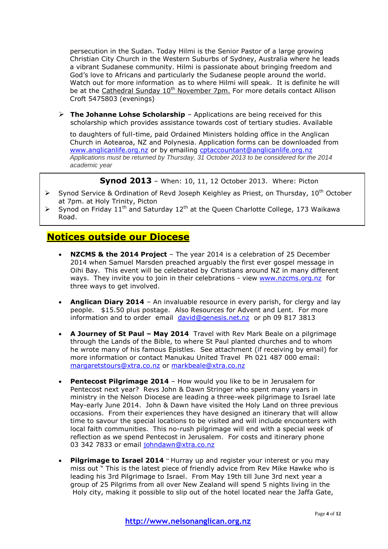persecution in the Sudan. Today Hilmi is the Senior Pastor of a large growing Christian City Church in the Western Suburbs of Sydney, Australia where he leads a vibrant Sudanese community. Hilmi is passionate about bringing freedom and God's love to Africans and particularly the Sudanese people around the world. Watch out for more information as to where Hilmi will speak. It is definite he will be at the Cathedral Sunday 10<sup>th</sup> November 7pm. For more details contact Allison Croft 5475803 (evenings)

 **The Johanne Lohse Scholarship** – Applications are being received for this scholarship which provides assistance towards cost of tertiary studies. Available

to daughters of full-time, paid Ordained Ministers holding office in the Anglican Church in Aotearoa, NZ and Polynesia. Application forms can be downloaded from [www.anglicanlife.org.nz](http://www.anglicanlife.org.nz/) or by emailing [cptaccountant@anglicanlife.org.nz](mailto:cptaccountant@anglicanlife.org.nz) *Applications must be returned by Thursday, 31 October 2013 to be considered for the 2014 academic year*

**Synod 2013** – When: 10, 11, 12 October 2013. Where: Picton

- $\triangleright$  Synod Service & Ordination of Revd Joseph Keighley as Priest, on Thursday, 10<sup>th</sup> October at 7pm. at Holy Trinity, Picton
- $\triangleright$  Synod on Friday 11<sup>th</sup> and Saturday 12<sup>th</sup> at the Queen Charlotte College, 173 Waikawa Road.

## **Notices outside our Diocese**

- **NZCMS & the 2014 Project** The year 2014 is a celebration of 25 December 2014 when Samuel Marsden preached arguably the first ever gospel message in Oihi Bay. This event will be celebrated by Christians around NZ in many different ways. They invite you to join in their celebrations - view [www.nzcms.org.nz](http://www.nzcms.org.nz/) for three ways to get involved.
- **Anglican Diary 2014** An invaluable resource in every parish, for clergy and lay people. \$15.50 plus postage. Also Resources for Advent and Lent. For more information and to order email [david@genesis.net.nz](mailto:david@genesis.net.nz) or ph 09 817 3813
- **A Journey of St Paul – May 2014** Travel with Rev Mark Beale on a pilgrimage through the Lands of the Bible, to where St Paul planted churches and to whom he wrote many of his famous Epistles. See attachment (if receiving by email) for more information or contact Manukau United Travel Ph 021 487 000 email: [margaretstours@xtra.co.nz](mailto:margaretstours@xtra.co.nz) or [markbeale@xtra.co.nz](mailto:markbeale@xtra.co.nz)
- **Pentecost Pilgrimage 2014** How would you like to be in Jerusalem for Pentecost next year? Revs John & Dawn Stringer who spent many years in ministry in the Nelson Diocese are leading a three-week pilgrimage to Israel late May-early June 2014. John & Dawn have visited the Holy Land on three previous occasions. From their experiences they have designed an itinerary that will allow time to savour the special locations to be visited and will include encounters with local faith communities. This no-rush pilgrimage will end with a special week of reflection as we spend Pentecost in Jerusalem. For costs and itinerary phone 03 342 7833 or email [johndawn@xtra.co.nz](mailto:johndawn@xtra.co.nz)
- **Pilgrimage to Israel 2014** " Hurray up and register your interest or you may miss out " This is the latest piece of friendly advice from Rev Mike Hawke who is leading his 3rd Pilgrimage to Israel. From May 19th till June 3rd next year a group of 25 Pilgrims from all over New Zealand will spend 5 nights living in the Holy city, making it possible to slip out of the hotel located near the Jaffa Gate,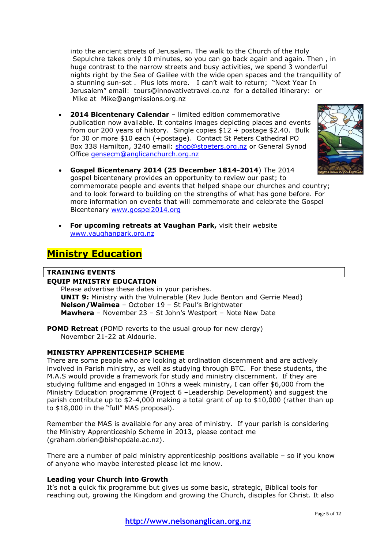into the ancient streets of Jerusalem. The walk to the Church of the Holy Sepulchre takes only 10 minutes, so you can go back again and again. Then , in huge contrast to the narrow streets and busy activities, we spend 3 wonderful nights right by the Sea of Galilee with the wide open spaces and the tranquillity of a stunning sun-set . Plus lots more. I can't wait to return; "Next Year In Jerusalem" email: [tours@innovativetravel.co.nz](mailto:tours@innovativetravel.co.nz) for a detailed itinerary: or Mike at [Mike@angmissions.org.nz](mailto:Mike@angmissions.org.nz)

 **2014 Bicentenary Calendar** – limited edition commemorative publication now available. It contains images depicting places and events from our 200 years of history. Single copies \$12 + postage \$2.40. Bulk for 30 or more \$10 each (+postage). Contact St Peters Cathedral PO Box 338 Hamilton, 3240 email: [shop@stpeters.org.nz](mailto:shop@stpeters.org.nz) or General Synod Office [gensecm@anglicanchurch.org.nz](mailto:gensecm@anglicanchurch.org.nz)



- **Gospel Bicentenary 2014 (25 December 1814-2014**) The 2014 gospel bicentenary provides an opportunity to review our past; to commemorate people and events that helped shape our churches and country; and to look forward to building on the strengths of what has gone before. For more information on events that will commemorate and celebrate the Gospel Bicentenary [www.gospel2014.org](http://www.gospel2014.org/)
- **For upcoming retreats at Vaughan Park,** visit their website [www.vaughanpark.org.nz](http://www.vaughanpark.org.nz/)

## **Ministry Education**

## **TRAINING EVENTS**

## **EQUIP MINISTRY EDUCATION**

Please advertise these dates in your parishes. **UNIT 9:** Ministry with the Vulnerable (Rev Jude Benton and Gerrie Mead) **Nelson/Waimea** – October 19 – St Paul's Brightwater **Mawhera** – November 23 – St John's Westport – Note New Date

**POMD Retreat** (POMD reverts to the usual group for new clergy) November 21-22 at Aldourie.

### **MINISTRY APPRENTICESHIP SCHEME**

There are some people who are looking at ordination discernment and are actively involved in Parish ministry, as well as studying through BTC. For these students, the M.A.S would provide a framework for study and ministry discernment. If they are studying fulltime and engaged in 10hrs a week ministry, I can offer \$6,000 from the Ministry Education programme (Project 6 –Leadership Development) and suggest the parish contribute up to \$2-4,000 making a total grant of up to \$10,000 (rather than up to \$18,000 in the "full" MAS proposal).

Remember the MAS is available for any area of ministry. If your parish is considering the Ministry Apprenticeship Scheme in 2013, please contact me (graham.obrien@bishopdale.ac.nz).

There are a number of paid ministry apprenticeship positions available – so if you know of anyone who maybe interested please let me know.

### **Leading your Church into Growth**

It's not a quick fix programme but gives us some basic, strategic, Biblical tools for reaching out, growing the Kingdom and growing the Church, disciples for Christ. It also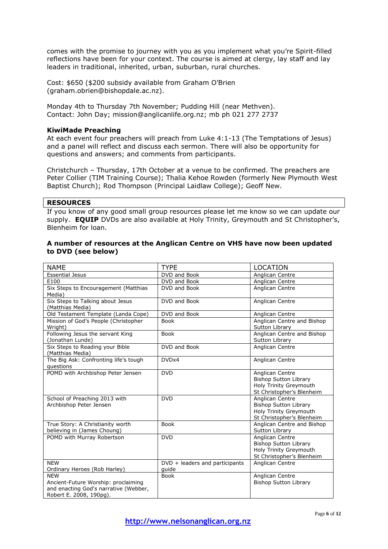comes with the promise to journey with you as you implement what you're Spirit-filled reflections have been for your context. The course is aimed at clergy, lay staff and lay leaders in traditional, inherited, urban, suburban, rural churches.

Cost: \$650 (\$200 subsidy available from Graham O'Brien (graham.obrien@bishopdale.ac.nz).

Monday 4th to Thursday 7th November; Pudding Hill (near Methven). Contact: John Day; mission@anglicanlife.org.nz; mb ph 021 277 2737

#### **KiwiMade Preaching**

At each event four preachers will preach from Luke 4:1-13 (The Temptations of Jesus) and a panel will reflect and discuss each sermon. There will also be opportunity for questions and answers; and comments from participants.

Christchurch – Thursday, 17th October at a venue to be confirmed. The preachers are Peter Collier (TIM Training Course); Thalia Kehoe Rowden (formerly New Plymouth West Baptist Church); Rod Thompson (Principal Laidlaw College); Geoff New.

#### **RESOURCES**

If you know of any good small group resources please let me know so we can update our supply. **EQUIP** DVDs are also available at Holy Trinity, Greymouth and St Christopher's, Blenheim for loan.

#### **A number of resources at the Anglican Centre on VHS have now been updated to DVD (see below)**

| <b>NAME</b>                                                                                                           | <b>TYPE</b>                             | <b>LOCATION</b>                                                                                        |
|-----------------------------------------------------------------------------------------------------------------------|-----------------------------------------|--------------------------------------------------------------------------------------------------------|
| <b>Essential Jesus</b>                                                                                                | DVD and Book                            | Anglican Centre                                                                                        |
| E100                                                                                                                  | DVD and Book                            | Anglican Centre                                                                                        |
| Six Steps to Encouragement (Matthias<br>Media)                                                                        | DVD and Book                            | Anglican Centre                                                                                        |
| Six Steps to Talking about Jesus<br>(Matthias Media)                                                                  | DVD and Book                            | Anglican Centre                                                                                        |
| Old Testament Template (Landa Cope)                                                                                   | DVD and Book                            | Anglican Centre                                                                                        |
| Mission of God's People (Christopher<br>Wright)                                                                       | <b>Book</b>                             | Anglican Centre and Bishop<br>Sutton Library                                                           |
| Following Jesus the servant King<br>(Jonathan Lunde)                                                                  | <b>Book</b>                             | Anglican Centre and Bishop<br>Sutton Library                                                           |
| Six Steps to Reading your Bible<br>(Matthias Media)                                                                   | DVD and Book                            | Anglican Centre                                                                                        |
| The Big Ask: Confronting life's tough<br>questions                                                                    | DVDx4                                   | Anglican Centre                                                                                        |
| POMD with Archbishop Peter Jensen                                                                                     | <b>DVD</b>                              | Anglican Centre<br><b>Bishop Sutton Library</b><br>Holy Trinity Greymouth<br>St Christopher's Blenheim |
| School of Preaching 2013 with<br>Archbishop Peter Jensen                                                              | <b>DVD</b>                              | Anglican Centre<br><b>Bishop Sutton Library</b><br>Holy Trinity Greymouth<br>St Christopher's Blenheim |
| True Story: A Christianity worth<br>believing in (James Choung)                                                       | <b>Book</b>                             | Anglican Centre and Bishop<br>Sutton Library                                                           |
| POMD with Murray Robertson                                                                                            | <b>DVD</b>                              | Anglican Centre<br><b>Bishop Sutton Library</b><br>Holy Trinity Greymouth<br>St Christopher's Blenheim |
| <b>NEW</b><br>Ordinary Heroes (Rob Harley)                                                                            | DVD + leaders and participants<br>quide | Anglican Centre                                                                                        |
| <b>NEW</b><br>Ancient-Future Worship: proclaiming<br>and enacting God's narrative (Webber,<br>Robert E. 2008, 190pg). | <b>Book</b>                             | Anglican Centre<br><b>Bishop Sutton Library</b>                                                        |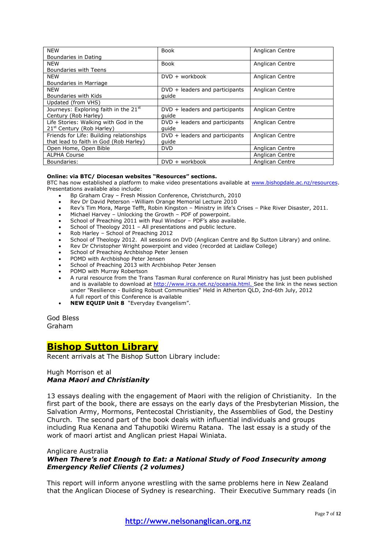| <b>NEW</b>                                        | <b>Book</b>                      | Anglican Centre |
|---------------------------------------------------|----------------------------------|-----------------|
| Boundaries in Dating                              |                                  |                 |
| <b>NEW</b>                                        | Book                             | Anglican Centre |
| Boundaries with Teens                             |                                  |                 |
| <b>NEW</b>                                        | $DVD + workbook$                 | Anglican Centre |
| Boundaries in Marriage                            |                                  |                 |
| <b>NEW</b>                                        | $DVD + leaders$ and participants | Anglican Centre |
| Boundaries with Kids                              | quide                            |                 |
| Updated (from VHS)                                |                                  |                 |
| Journeys: Exploring faith in the 21 <sup>st</sup> | $DVD + leaders$ and participants | Anglican Centre |
| Century (Rob Harley)                              | quide                            |                 |
| Life Stories: Walking with God in the             | $DVD + leaders$ and participants | Anglican Centre |
| 21 <sup>st</sup> Century (Rob Harley)             | quide                            |                 |
| Friends for Life: Building relationships          | $DVD + leaders$ and participants | Anglican Centre |
| that lead to faith in God (Rob Harley)            | quide                            |                 |
| Open Home, Open Bible                             | <b>DVD</b>                       | Anglican Centre |
| <b>ALPHA Course</b>                               |                                  | Anglican Centre |
| Boundaries:                                       | $DVD + workbook$                 | Anglican Centre |

#### **Online: via BTC/ Diocesan websites "Resources" sections.**

BTC has now established a platform to make video presentations available at [www.bishopdale.ac.nz/resources.](http://www.bishopdale.ac.nz/resources) Presentations available also include:

- Bp Graham Cray Fresh Mission Conference, Christchurch, 2010
- Rev Dr David Peterson –William Orange Memorial Lecture 2010
- Rev's Tim Mora, Marge Tefft, Robin Kingston Ministry in life's Crises Pike River Disaster, 2011.
- Michael Harvey Unlocking the Growth PDF of powerpoint.
- School of Preaching 2011 with Paul Windsor PDF's also available.
- School of Theology 2011 All presentations and public lecture.
- Rob Harley School of Preaching 2012
- School of Theology 2012. All sessions on DVD (Anglican Centre and Bp Sutton Library) and online.
- Rev Dr Christopher Wright powerpoint and video (recorded at Laidlaw College)
- School of Preaching Archbishop Peter Jensen
- POMD with Archbishop Peter Jensen
- School of Preaching 2013 with Archbishop Peter Jensen
- POMD with Murray Robertson
- A rural resource from the Trans Tasman Rural conference on Rural Ministry has just been published and is available to download at [http://www.irca.net.nz/oceania.html.](http://www.irca.net.nz/oceania.html) See the link in the news section under "Resilience - Building Robust Communities" Held in Atherton QLD, 2nd-6th July, 2012 A full report of this Conference is available
- **NEW EQUIP Unit 8** "Everyday Evangelism".

God Bless Graham

## **Bishop Sutton Library**

Recent arrivals at The Bishop Sutton Library include:

#### Hugh Morrison et al *Mana Maori and Christianity*

13 essays dealing with the engagement of Maori with the religion of Christianity. In the first part of the book, there are essays on the early days of the Presbyterian Mission, the Salvation Army, Mormons, Pentecostal Christianity, the Assemblies of God, the Destiny Church. The second part of the book deals with influential individuals and groups including Rua Kenana and Tahupotiki Wiremu Ratana. The last essay is a study of the work of maori artist and Anglican priest Hapai Winiata.

#### Anglicare Australia

## *When There's not Enough to Eat: a National Study of Food Insecurity among Emergency Relief Clients (2 volumes)*

This report will inform anyone wrestling with the same problems here in New Zealand that the Anglican Diocese of Sydney is researching. Their Executive Summary reads (in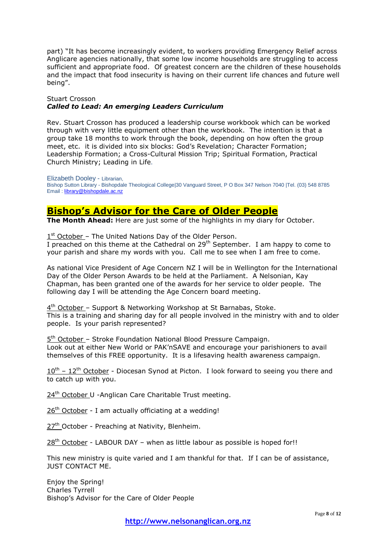part) "It has become increasingly evident, to workers providing Emergency Relief across Anglicare agencies nationally, that some low income households are struggling to access sufficient and appropriate food. Of greatest concern are the children of these households and the impact that food insecurity is having on their current life chances and future well being".

## Stuart Crosson *Called to Lead: An emerging Leaders Curriculum*

Rev. Stuart Crosson has produced a leadership course workbook which can be worked through with very little equipment other than the workbook. The intention is that a group take 18 months to work through the book, depending on how often the group meet, etc. it is divided into six blocks: God's Revelation; Character Formation; Leadership Formation; a Cross-Cultural Mission Trip; Spiritual Formation, Practical Church Ministry; Leading in Life.

Elizabeth Dooley - Librarian, Bishop Sutton Library - Bishopdale Theological College|30 Vanguard Street, P O Box 347 Nelson 7040 |Tel. (03) 548 8785 Email [: library@bishopdale.ac.nz](mailto:library@bishopdale.ac.nz)

## **Bishop's Advisor for the Care of Older People**

**The Month Ahead:** Here are just some of the highlights in my diary for October.

1<sup>st</sup> October - The United Nations Day of the Older Person.

I preached on this theme at the Cathedral on  $29<sup>th</sup>$  September. I am happy to come to your parish and share my words with you. Call me to see when I am free to come.

As national Vice President of Age Concern NZ I will be in Wellington for the International Day of the Older Person Awards to be held at the Parliament. A Nelsonian, Kay Chapman, has been granted one of the awards for her service to older people. The following day I will be attending the Age Concern board meeting.

4<sup>th</sup> October - Support & Networking Workshop at St Barnabas, Stoke. This is a training and sharing day for all people involved in the ministry with and to older people. Is your parish represented?

5<sup>th</sup> October - Stroke Foundation National Blood Pressure Campaign. Look out at either New World or PAK'nSAVE and encourage your parishioners to avail themselves of this FREE opportunity. It is a lifesaving health awareness campaign.

 $10^{th}$  –  $12^{th}$  October - Diocesan Synod at Picton. I look forward to seeing you there and to catch up with you.

24<sup>th</sup> October U -Anglican Care Charitable Trust meeting.

 $26<sup>th</sup>$  October - I am actually officiating at a wedding!

27<sup>th</sup> October - Preaching at Nativity, Blenheim.

 $28<sup>th</sup>$  October - LABOUR DAY – when as little labour as possible is hoped for!!

This new ministry is quite varied and I am thankful for that. If I can be of assistance, JUST CONTACT ME.

Enjoy the Spring! Charles Tyrrell Bishop's Advisor for the Care of Older People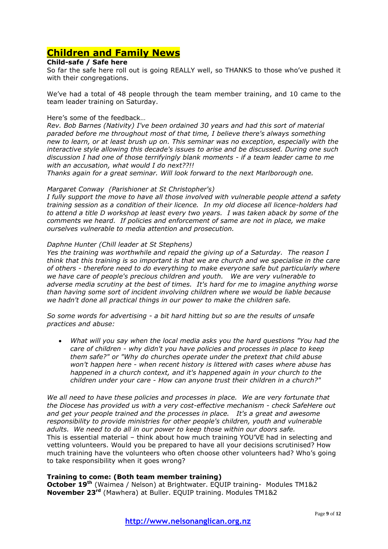## **Children and Family News**

## **Child-safe / Safe here**

So far the safe here roll out is going REALLY well, so THANKS to those who've pushed it with their congregations.

We've had a total of 48 people through the team member training, and 10 came to the team leader training on Saturday.

### Here's some of the feedback…

*Rev. Bob Barnes (Nativity) I've been ordained 30 years and had this sort of material paraded before me throughout most of that time, I believe there's always something new to learn, or at least brush up on. This seminar was no exception, especially with the interactive style allowing this decade's issues to arise and be discussed. During one such discussion I had one of those terrifyingly blank moments - if a team leader came to me with an accusation, what would I do next??!!* 

*Thanks again for a great seminar. Will look forward to the next Marlborough one.*

### *Margaret Conway (Parishioner at St Christopher's)*

*I fully support the move to have all those involved with vulnerable people attend a safety training session as a condition of their licence. In my old diocese all licence-holders had to attend a title D workshop at least every two years. I was taken aback by some of the comments we heard. If policies and enforcement of same are not in place, we make ourselves vulnerable to media attention and prosecution.*

### *Daphne Hunter (Chill leader at St Stephens)*

*Yes the training was worthwhile and repaid the giving up of a Saturday. The reason I think that this training is so important is that we are church and we specialise in the care of others - therefore need to do everything to make everyone safe but particularly where we have care of people's precious children and youth. We are very vulnerable to adverse media scrutiny at the best of times. It's hard for me to imagine anything worse than having some sort of incident involving children where we would be liable because we hadn't done all practical things in our power to make the children safe.*

*So some words for advertising - a bit hard hitting but so are the results of unsafe practices and abuse:*

 *What will you say when the local media asks you the hard questions "You had the care of children - why didn't you have policies and processes in place to keep them safe?" or "Why do churches operate under the pretext that child abuse won't happen here - when recent history is littered with cases where abuse has happened in a church context, and it's happened again in your church to the children under your care - How can anyone trust their children in a church?"*

*We all need to have these policies and processes in place. We are very fortunate that the Diocese has provided us with a very cost-effective mechanism - check SafeHere out and get your people trained and the processes in place. It's a great and awesome responsibility to provide ministries for other people's children, youth and vulnerable adults. We need to do all in our power to keep those within our doors safe.* This is essential material – think about how much training YOU'VE had in selecting and vetting volunteers. Would you be prepared to have all your decisions scrutinised? How much training have the volunteers who often choose other volunteers had? Who's going to take responsibility when it goes wrong?

### **Training to come: (Both team member training)**

**October 19th** (Waimea / Nelson) at Brightwater. EQUIP training- Modules TM1&2 **November 23rd** (Mawhera) at Buller. EQUIP training. Modules TM1&2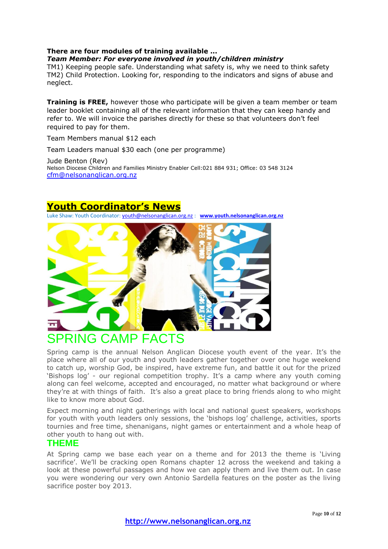## **There are four modules of training available ...**

#### *Team Member: For everyone involved in youth/children ministry*

TM1) Keeping people safe. Understanding what safety is, why we need to think safety TM2) Child Protection. Looking for, responding to the indicators and signs of abuse and neglect.

**Training is FREE,** however those who participate will be given a team member or team leader booklet containing all of the relevant information that they can keep handy and refer to. We will invoice the parishes directly for these so that volunteers don't feel required to pay for them.

Team Members manual \$12 each

Team Leaders manual \$30 each (one per programme)

Jude Benton (Rev) Nelson Diocese Children and Families Ministry Enabler Cell:021 884 931; Office: 03 548 3124 [cfm@nelsonanglican.org.nz](mailto:cfm@nelsonanglican.org.nz)

## **Youth Coordinator's News**

Luke Shaw: Youth Coordinator[: youth@nelsonanglican.org.nz](mailto:youth@nelsonanglican.org.nz) : **[www.youth.nelsonanglican.org.nz](http://www.youth.nelsonanglican.org.nz/)**



# PRING CAMP FACTS

Spring camp is the annual Nelson Anglican Diocese youth event of the year. It's the place where all of our youth and youth leaders gather together over one huge weekend to catch up, worship God, be inspired, have extreme fun, and battle it out for the prized 'Bishops log' - our regional competition trophy. It's a camp where any youth coming along can feel welcome, accepted and encouraged, no matter what background or where they're at with things of faith. It's also a great place to bring friends along to who might like to know more about God.

Expect morning and night gatherings with local and national guest speakers, workshops for youth with youth leaders only sessions, the 'bishops log' challenge, activities, sports tournies and free time, shenanigans, night games or entertainment and a whole heap of other youth to hang out with.

## **THEME**

At Spring camp we base each year on a theme and for 2013 the theme is 'Living sacrifice'. We'll be cracking open Romans chapter 12 across the weekend and taking a look at these powerful passages and how we can apply them and live them out. In case you were wondering our very own Antonio Sardella features on the poster as the living sacrifice poster boy 2013.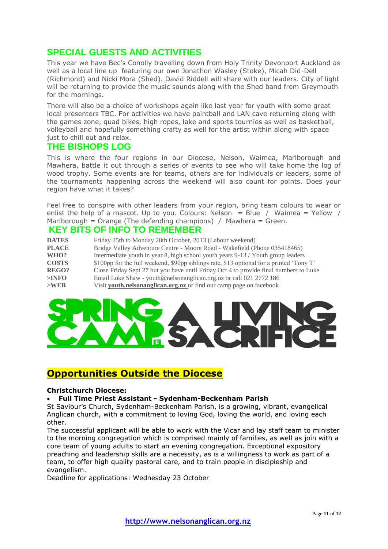## **SPECIAL GUESTS AND ACTIVITIES**

This year we have Bec's Conolly travelling down from Holy Trinity Devonport Auckland as well as a local line up featuring our own Jonathon Wasley (Stoke), Micah Did-Dell (Richmond) and Nicki Mora (Shed). David Riddell will share with our leaders. City of light will be returning to provide the music sounds along with the Shed band from Greymouth for the mornings.

There will also be a choice of workshops again like last year for youth with some great local presenters TBC. For activities we have paintball and LAN cave returning along with the games zone, quad bikes, high ropes, lake and sports tournies as well as basketball, volleyball and hopefully something crafty as well for the artist within along with space just to chill out and relax.

## **THE BISHOPS LOG**

This is where the four regions in our Diocese, Nelson, Waimea, Marlborough and Mawhera, battle it out through a series of events to see who will take home the log of wood trophy. Some events are for teams, others are for individuals or leaders, some of the tournaments happening across the weekend will also count for points. Does your region have what it takes?

Feel free to conspire with other leaders from your region, bring team colours to wear or enlist the help of a mascot. Up to you. Colours: Nelson = Blue / Waimea = Yellow / Marlborough = Orange (The defending champions) / Mawhera = Green.

## **KEY BITS OF INFO TO REMEMBER**

| <b>DATES</b> | Friday 25th to Monday 28th October, 2013 (Labour weekend)                                |  |
|--------------|------------------------------------------------------------------------------------------|--|
| <b>PLACE</b> | Bridge Valley Adventure Centre - Moore Road - Wakefield (Phone 035418465)                |  |
| WHO?         | Intermediate youth in year 8, high school youth years 9-13 / Youth group leaders         |  |
| <b>COSTS</b> | \$100pp for the full weekend, \$90pp siblings rate, \$13 optional for a printed 'Tony T' |  |
| REGO?        | Close Friday Sept 27 but you have until Friday Oct 4 to provide final numbers to Luke    |  |
| $>$ INFO     | Email Luke Shaw - youth@nelsonanglican.org.nz or call 021 2772 186                       |  |
| $>$ WEB      | Visit youth.nelsonanglican.org.nz or find our camp page on facebook                      |  |



## **Opportunities Outside the Diocese**

### **Christchurch Diocese:**

### **Full Time Priest Assistant - Sydenham-Beckenham Parish**

St Saviour's Church, Sydenham-Beckenham Parish, is a growing, vibrant, evangelical Anglican church, with a commitment to loving God, loving the world, and loving each other.

The successful applicant will be able to work with the Vicar and lay staff team to minister to the morning congregation which is comprised mainly of families, as well as join with a core team of young adults to start an evening congregation. Exceptional expository preaching and leadership skills are a necessity, as is a willingness to work as part of a team, to offer high quality pastoral care, and to train people in discipleship and evangelism.

Deadline for applications: Wednesday 23 October